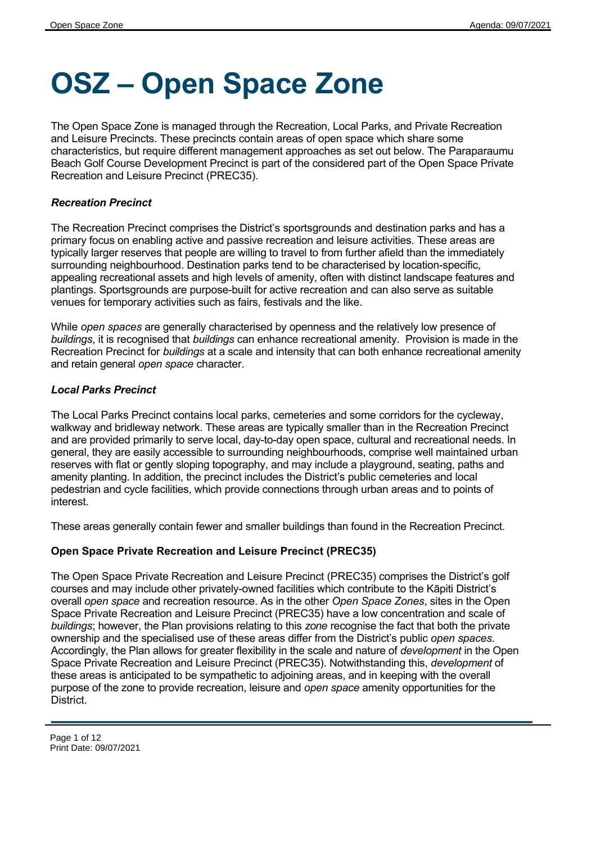# **OSZ – Open Space Zone**

The Open Space Zone is managed through the Recreation, Local Parks, and Private Recreation and Leisure Precincts. These precincts contain areas of open space which share some characteristics, but require different management approaches as set out below. The Paraparaumu Beach Golf Course Development Precinct is part of the considered part of the Open Space Private Recreation and Leisure Precinct (PREC35).

#### *Recreation Precinct*

The Recreation Precinct comprises the District's sportsgrounds and destination parks and has a primary focus on enabling active and passive recreation and leisure activities. These areas are typically larger reserves that people are willing to travel to from further afield than the immediately surrounding neighbourhood. Destination parks tend to be characterised by location-specific, appealing recreational assets and high levels of amenity, often with distinct landscape features and plantings. Sportsgrounds are purpose-built for active recreation and can also serve as suitable venues for temporary activities such as fairs, festivals and the like.

While *open spaces* are generally characterised by openness and the relatively low presence of *buildings*, it is recognised that *buildings* can enhance recreational amenity. Provision is made in the Recreation Precinct for *buildings* at a scale and intensity that can both enhance recreational amenity and retain general *open space* character.

#### *Local Parks Precinct*

The Local Parks Precinct contains local parks, cemeteries and some corridors for the cycleway, walkway and bridleway network. These areas are typically smaller than in the Recreation Precinct and are provided primarily to serve local, day-to-day open space, cultural and recreational needs. In general, they are easily accessible to surrounding neighbourhoods, comprise well maintained urban reserves with flat or gently sloping topography, and may include a playground, seating, paths and amenity planting. In addition, the precinct includes the District's public cemeteries and local pedestrian and cycle facilities, which provide connections through urban areas and to points of interest.

These areas generally contain fewer and smaller buildings than found in the Recreation Precinct.

#### **Open Space Private Recreation and Leisure Precinct (PREC35)**

The Open Space Private Recreation and Leisure Precinct (PREC35) comprises the District's golf courses and may include other privately-owned facilities which contribute to the Kāpiti District's overall *open space* and recreation resource. As in the other *Open Space Zones*, sites in the Open Space Private Recreation and Leisure Precinct (PREC35) have a low concentration and scale of *buildings*; however, the Plan provisions relating to this *zone* recognise the fact that both the private ownership and the specialised use of these areas differ from the District's public *open spaces*. Accordingly, the Plan allows for greater flexibility in the scale and nature of *development* in the Open Space Private Recreation and Leisure Precinct (PREC35). Notwithstanding this, *development* of these areas is anticipated to be sympathetic to adjoining areas, and in keeping with the overall purpose of the zone to provide recreation, leisure and *open space* amenity opportunities for the **District.**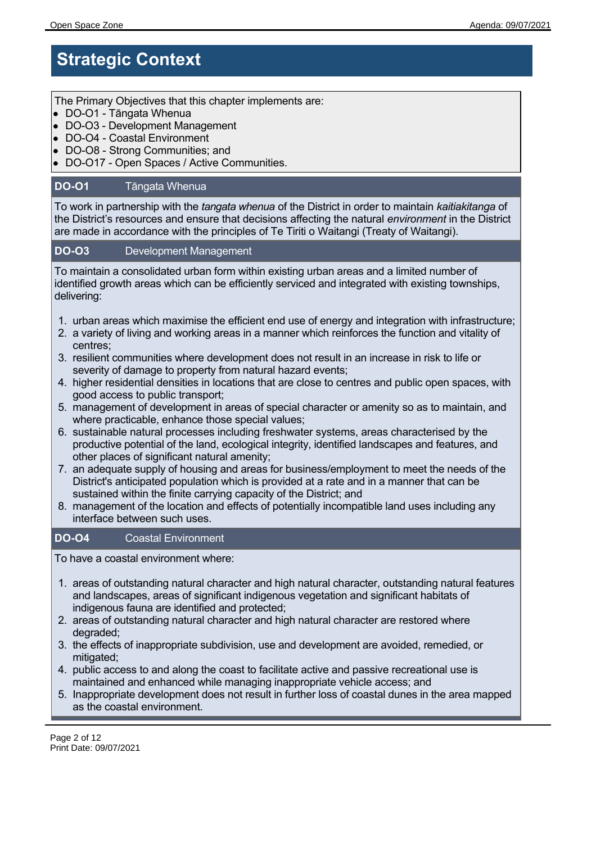## **Strategic Context**

The Primary Objectives that this chapter implements are:

- DO-O1 Tāngata Whenua
- DO-O3 Development Management
- DO-O4 Coastal Environment
- DO-O8 Strong Communities; and
- DO-O17 Open Spaces / Active Communities.

#### **DO-O1** Tāngata Whenua

To work in partnership with the *tangata whenua* of the District in order to maintain *kaitiakitanga* of the District's resources and ensure that decisions affecting the natural *environment* in the District are made in accordance with the principles of Te Tiriti o Waitangi (Treaty of Waitangi).

#### **DO-O3** Development Management

To maintain a consolidated urban form within existing urban areas and a limited number of identified growth areas which can be efficiently serviced and integrated with existing townships, delivering:

- 1. urban areas which maximise the efficient end use of energy and integration with infrastructure;
- 2. a variety of living and working areas in a manner which reinforces the function and vitality of centres;
- 3. resilient communities where development does not result in an increase in risk to life or severity of damage to property from natural hazard events;
- 4. higher residential densities in locations that are close to centres and public open spaces, with good access to public transport;
- 5. management of development in areas of special character or amenity so as to maintain, and where practicable, enhance those special values;
- 6. sustainable natural processes including freshwater systems, areas characterised by the productive potential of the land, ecological integrity, identified landscapes and features, and other places of significant natural amenity;
- 7. an adequate supply of housing and areas for business/employment to meet the needs of the District's anticipated population which is provided at a rate and in a manner that can be sustained within the finite carrying capacity of the District; and
- 8. management of the location and effects of potentially incompatible land uses including any interface between such uses.

#### **DO-O4** Coastal Environment

To have a coastal environment where:

- 1. areas of outstanding natural character and high natural character, outstanding natural features and landscapes, areas of significant indigenous vegetation and significant habitats of indigenous fauna are identified and protected;
- 2. areas of outstanding natural character and high natural character are restored where degraded;
- 3. the effects of inappropriate subdivision, use and development are avoided, remedied, or mitigated;
- 4. public access to and along the coast to facilitate active and passive recreational use is maintained and enhanced while managing inappropriate vehicle access; and
- 5. Inappropriate development does not result in further loss of coastal dunes in the area mapped as the coastal environment.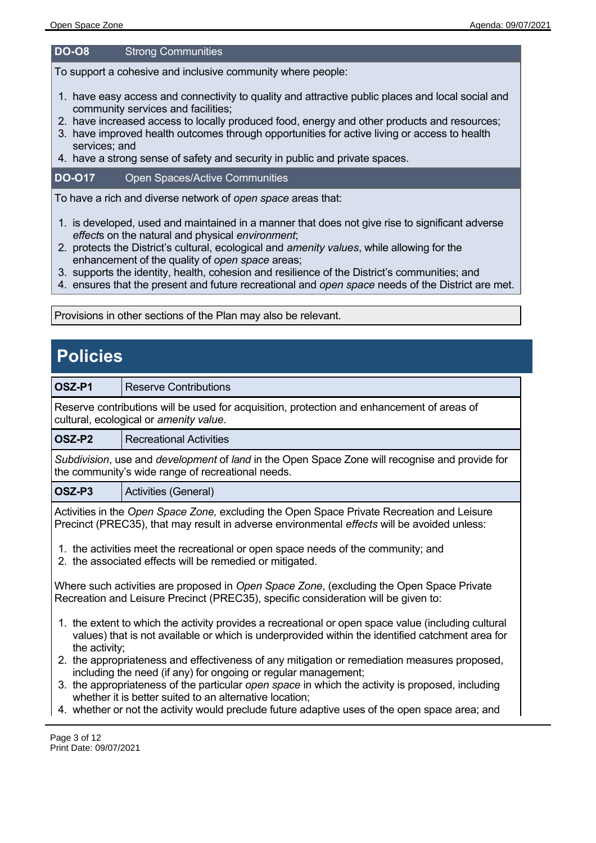#### **DO-O8** Strong Communities

To support a cohesive and inclusive community where people:

- 1. have easy access and connectivity to quality and attractive public places and local social and community services and facilities;
- 2. have increased access to locally produced food, energy and other products and resources;
- 3. have improved health outcomes through opportunities for active living or access to health services; and
- 4. have a strong sense of safety and security in public and private spaces.

#### **DO-O17** Open Spaces/Active Communities

To have a rich and diverse network of *open space* areas that:

- 1. is developed, used and maintained in a manner that does not give rise to significant adverse *effect*s on the natural and physical *environment*;
- 2. protects the District's cultural, ecological and *amenity values*, while allowing for the enhancement of the quality of *open space* areas;
- 3. supports the identity, health, cohesion and resilience of the District's communities; and
- 4. ensures that the present and future recreational and *open space* needs of the District are met.

Provisions in other sections of the Plan may also be relevant.

### **Policies**

| OSZ-P1                                 | Reserve Contributions                                                                      |
|----------------------------------------|--------------------------------------------------------------------------------------------|
|                                        | Reserve contributions will be used for acquisition, protection and enhancement of areas of |
| cultural, ecological or amenity value. |                                                                                            |

**OSZ-P2** Recreational Activities

*Subdivision*, use and *development* of *land* in the Open Space Zone will recognise and provide for the community's wide range of recreational needs.

**OSZ-P3** | Activities (General)

Activities in the *Open Space Zone,* excluding the Open Space Private Recreation and Leisure Precinct (PREC35), that may result in adverse environmental *effects* will be avoided unless:

- 1. the activities meet the recreational or open space needs of the community; and
- 2. the associated effects will be remedied or mitigated.

Where such activities are proposed in *Open Space Zone*, (excluding the Open Space Private Recreation and Leisure Precinct (PREC35), specific consideration will be given to:

- 1. the extent to which the activity provides a recreational or open space value (including cultural values) that is not available or which is underprovided within the identified catchment area for the activity;
- 2. the appropriateness and effectiveness of any mitigation or remediation measures proposed, including the need (if any) for ongoing or regular management;
- 3. the appropriateness of the particular *open space* in which the activity is proposed, including whether it is better suited to an alternative location;
- 4. whether or not the activity would preclude future adaptive uses of the open space area; and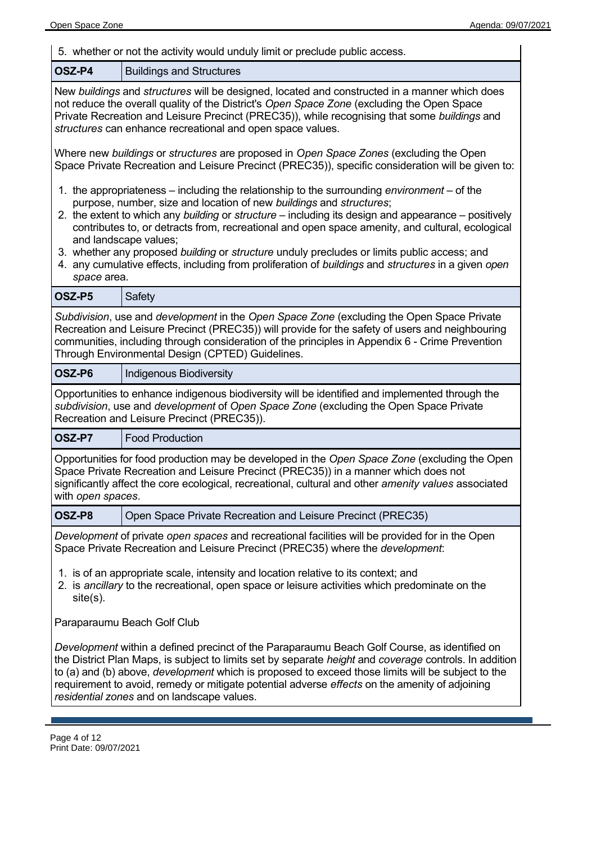5. whether or not the activity would unduly limit or preclude public access. **OSZ-P4** | Buildings and Structures New *buildings* and *structures* will be designed, located and constructed in a manner which does not reduce the overall quality of the District's *Open Space Zone* (excluding the Open Space Private Recreation and Leisure Precinct (PREC35)), while recognising that some *buildings* and *structures* can enhance recreational and open space values. Where new *buildings* or *structures* are proposed in *Open Space Zones* (excluding the Open Space Private Recreation and Leisure Precinct (PREC35)), specific consideration will be given to: 1. the appropriateness – including the relationship to the surrounding *environment* – of the purpose, number, size and location of new *buildings* and *structures*; 2. the extent to which any *building* or *structure* – including its design and appearance – positively contributes to, or detracts from, recreational and open space amenity, and cultural, ecological and landscape values; 3. whether any proposed *building* or *structure* unduly precludes or limits public access; and 4. any cumulative effects, including from proliferation of *buildings* and *structures* in a given *open space* area. **OSZ-P5** Safety *Subdivision*, use and *development* in the *Open Space Zone* (excluding the Open Space Private Recreation and Leisure Precinct (PREC35)) will provide for the safety of users and neighbouring communities, including through consideration of the principles in Appendix 6 - Crime Prevention Through Environmental Design (CPTED) Guidelines. **OSZ-P6** | Indigenous Biodiversity Opportunities to enhance indigenous biodiversity will be identified and implemented through the *subdivision*, use and *development* of *Open Space Zone* (excluding the Open Space Private Recreation and Leisure Precinct (PREC35)). **OSZ-P7** | Food Production Opportunities for food production may be developed in the *Open Space Zone* (excluding the Open Space Private Recreation and Leisure Precinct (PREC35)) in a manner which does not significantly affect the core ecological, recreational, cultural and other *amenity values* associated with *open spaces*. **OSZ-P8** Open Space Private Recreation and Leisure Precinct (PREC35) *Development* of private *open spaces* and recreational facilities will be provided for in the Open Space Private Recreation and Leisure Precinct (PREC35) where the *development*: 1. is of an appropriate scale, intensity and location relative to its context; and 2. is *ancillary* to the recreational, open space or leisure activities which predominate on the site(s). Paraparaumu Beach Golf Club *Development* within a defined precinct of the Paraparaumu Beach Golf Course, as identified on the District Plan Maps, is subject to limits set by separate *height* and *coverage* controls. In addition to (a) and (b) above, *development* which is proposed to exceed those limits will be subject to the requirement to avoid, remedy or mitigate potential adverse *effects* on the amenity of adjoining *residential zones* and on landscape values.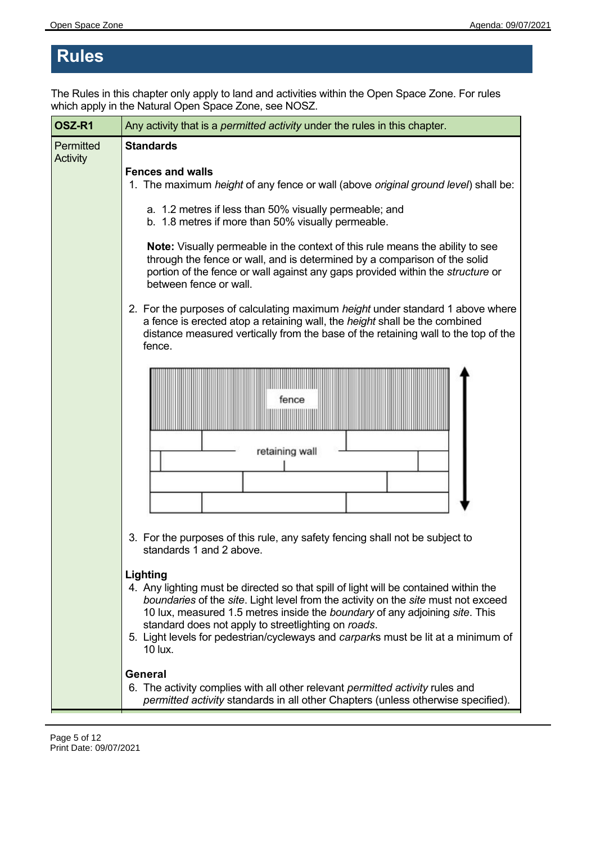## **Rules**

The Rules in this chapter only apply to land and activities within the Open Space Zone. For rules which apply in the Natural Open Space Zone, see NOSZ.

| OSZ-R1                | Any activity that is a permitted activity under the rules in this chapter.                                                                                                                                                                                                                                                                                                                                                  |  |
|-----------------------|-----------------------------------------------------------------------------------------------------------------------------------------------------------------------------------------------------------------------------------------------------------------------------------------------------------------------------------------------------------------------------------------------------------------------------|--|
| Permitted<br>Activity | <b>Standards</b>                                                                                                                                                                                                                                                                                                                                                                                                            |  |
|                       | <b>Fences and walls</b><br>1. The maximum height of any fence or wall (above original ground level) shall be:                                                                                                                                                                                                                                                                                                               |  |
|                       | a. 1.2 metres if less than 50% visually permeable; and<br>b. 1.8 metres if more than 50% visually permeable.                                                                                                                                                                                                                                                                                                                |  |
|                       | Note: Visually permeable in the context of this rule means the ability to see<br>through the fence or wall, and is determined by a comparison of the solid<br>portion of the fence or wall against any gaps provided within the <i>structure</i> or<br>between fence or wall.                                                                                                                                               |  |
|                       | 2. For the purposes of calculating maximum height under standard 1 above where<br>a fence is erected atop a retaining wall, the height shall be the combined<br>distance measured vertically from the base of the retaining wall to the top of the<br>fence.                                                                                                                                                                |  |
|                       | fence                                                                                                                                                                                                                                                                                                                                                                                                                       |  |
|                       | retaining wall                                                                                                                                                                                                                                                                                                                                                                                                              |  |
|                       | 3. For the purposes of this rule, any safety fencing shall not be subject to<br>standards 1 and 2 above.                                                                                                                                                                                                                                                                                                                    |  |
|                       | Lighting<br>4. Any lighting must be directed so that spill of light will be contained within the<br>boundaries of the site. Light level from the activity on the site must not exceed<br>10 lux, measured 1.5 metres inside the boundary of any adjoining site. This<br>standard does not apply to streetlighting on roads.<br>5. Light levels for pedestrian/cycleways and carparks must be lit at a minimum of<br>10 lux. |  |
|                       | <b>General</b><br>6. The activity complies with all other relevant permitted activity rules and<br>permitted activity standards in all other Chapters (unless otherwise specified).                                                                                                                                                                                                                                         |  |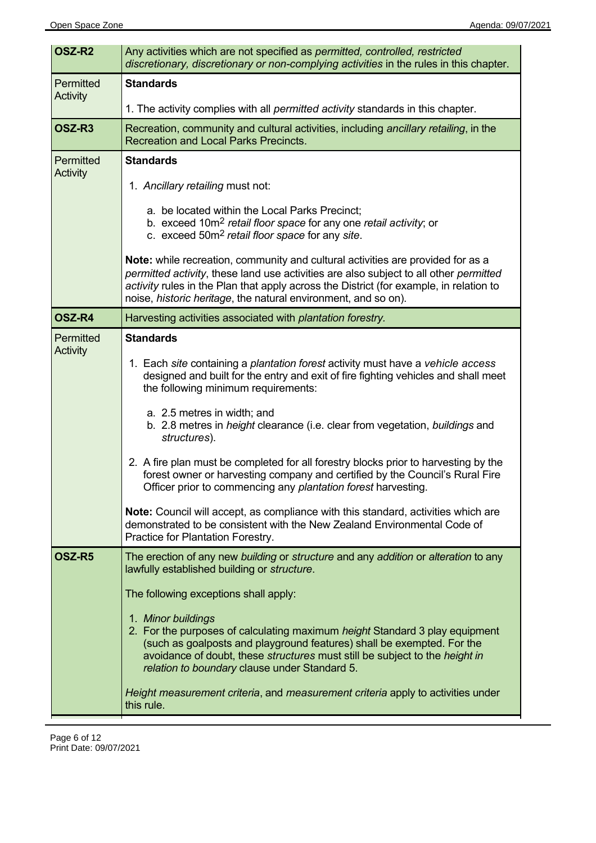| OSZ-R <sub>2</sub>    | Any activities which are not specified as permitted, controlled, restricted<br>discretionary, discretionary or non-complying activities in the rules in this chapter.                                                                                                                                                                       |
|-----------------------|---------------------------------------------------------------------------------------------------------------------------------------------------------------------------------------------------------------------------------------------------------------------------------------------------------------------------------------------|
| Permitted<br>Activity | <b>Standards</b>                                                                                                                                                                                                                                                                                                                            |
|                       | 1. The activity complies with all <i>permitted activity</i> standards in this chapter.                                                                                                                                                                                                                                                      |
| OSZ-R3                | Recreation, community and cultural activities, including ancillary retailing, in the<br><b>Recreation and Local Parks Precincts.</b>                                                                                                                                                                                                        |
| Permitted<br>Activity | <b>Standards</b>                                                                                                                                                                                                                                                                                                                            |
|                       | 1. Ancillary retailing must not:                                                                                                                                                                                                                                                                                                            |
|                       | a. be located within the Local Parks Precinct;<br>b. exceed 10m <sup>2</sup> retail floor space for any one retail activity; or<br>c. exceed 50m <sup>2</sup> retail floor space for any site.                                                                                                                                              |
|                       | <b>Note:</b> while recreation, community and cultural activities are provided for as a<br>permitted activity, these land use activities are also subject to all other permitted<br>activity rules in the Plan that apply across the District (for example, in relation to<br>noise, historic heritage, the natural environment, and so on). |
| OSZ-R4                | Harvesting activities associated with plantation forestry.                                                                                                                                                                                                                                                                                  |
| Permitted<br>Activity | <b>Standards</b>                                                                                                                                                                                                                                                                                                                            |
|                       | 1. Each site containing a plantation forest activity must have a vehicle access<br>designed and built for the entry and exit of fire fighting vehicles and shall meet<br>the following minimum requirements:                                                                                                                                |
|                       | a. 2.5 metres in width; and<br>b. 2.8 metres in <i>height</i> clearance (i.e. clear from vegetation, buildings and<br>structures).                                                                                                                                                                                                          |
|                       | 2. A fire plan must be completed for all forestry blocks prior to harvesting by the<br>forest owner or harvesting company and certified by the Council's Rural Fire<br>Officer prior to commencing any plantation forest harvesting.                                                                                                        |
|                       | <b>Note:</b> Council will accept, as compliance with this standard, activities which are<br>demonstrated to be consistent with the New Zealand Environmental Code of<br>Practice for Plantation Forestry.                                                                                                                                   |
| OSZ-R5                | The erection of any new building or structure and any addition or alteration to any<br>lawfully established building or structure.                                                                                                                                                                                                          |
|                       | The following exceptions shall apply:                                                                                                                                                                                                                                                                                                       |
|                       | 1. Minor buildings<br>2. For the purposes of calculating maximum height Standard 3 play equipment<br>(such as goalposts and playground features) shall be exempted. For the<br>avoidance of doubt, these structures must still be subject to the height in<br>relation to boundary clause under Standard 5.                                 |
|                       | Height measurement criteria, and measurement criteria apply to activities under<br>this rule.                                                                                                                                                                                                                                               |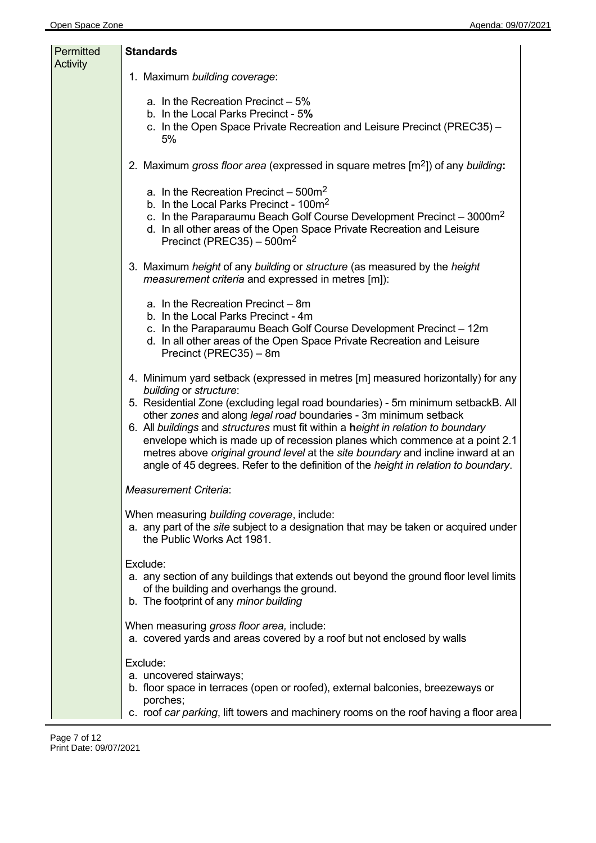| Permitted<br>Activity | <b>Standards</b>                                                                                                                                                                                                                                                                                                                                                                                                                                                                                                                                                                                                |
|-----------------------|-----------------------------------------------------------------------------------------------------------------------------------------------------------------------------------------------------------------------------------------------------------------------------------------------------------------------------------------------------------------------------------------------------------------------------------------------------------------------------------------------------------------------------------------------------------------------------------------------------------------|
|                       | 1. Maximum building coverage:                                                                                                                                                                                                                                                                                                                                                                                                                                                                                                                                                                                   |
|                       | a. In the Recreation Precinct $-5\%$<br>b. In the Local Parks Precinct - 5%<br>c. In the Open Space Private Recreation and Leisure Precinct (PREC35) -<br>5%                                                                                                                                                                                                                                                                                                                                                                                                                                                    |
|                       | 2. Maximum gross floor area (expressed in square metres $[m^2]$ ) of any building:                                                                                                                                                                                                                                                                                                                                                                                                                                                                                                                              |
|                       | a. In the Recreation Precinct $-500m^2$<br>b. In the Local Parks Precinct - 100m <sup>2</sup><br>c. In the Paraparaumu Beach Golf Course Development Precinct - 3000m <sup>2</sup><br>d. In all other areas of the Open Space Private Recreation and Leisure<br>Precinct (PREC35) $-500m^2$                                                                                                                                                                                                                                                                                                                     |
|                       | 3. Maximum height of any building or structure (as measured by the height<br><i>measurement criteria</i> and expressed in metres [m]):                                                                                                                                                                                                                                                                                                                                                                                                                                                                          |
|                       | a. In the Recreation Precinct - 8m<br>b. In the Local Parks Precinct - 4m<br>c. In the Paraparaumu Beach Golf Course Development Precinct - 12m<br>d. In all other areas of the Open Space Private Recreation and Leisure<br>Precinct (PREC35) - 8m                                                                                                                                                                                                                                                                                                                                                             |
|                       | 4. Minimum yard setback (expressed in metres [m] measured horizontally) for any<br>building or structure:<br>5. Residential Zone (excluding legal road boundaries) - 5m minimum setbackB. All<br>other zones and along legal road boundaries - 3m minimum setback<br>6. All buildings and structures must fit within a height in relation to boundary<br>envelope which is made up of recession planes which commence at a point 2.1<br>metres above original ground level at the site boundary and incline inward at an<br>angle of 45 degrees. Refer to the definition of the height in relation to boundary. |
|                       | <b>Measurement Criteria:</b>                                                                                                                                                                                                                                                                                                                                                                                                                                                                                                                                                                                    |
|                       | When measuring building coverage, include:<br>a. any part of the site subject to a designation that may be taken or acquired under<br>the Public Works Act 1981.                                                                                                                                                                                                                                                                                                                                                                                                                                                |
|                       | Exclude:<br>a. any section of any buildings that extends out beyond the ground floor level limits<br>of the building and overhangs the ground.<br>b. The footprint of any minor building                                                                                                                                                                                                                                                                                                                                                                                                                        |
|                       | When measuring gross floor area, include:<br>a. covered yards and areas covered by a roof but not enclosed by walls                                                                                                                                                                                                                                                                                                                                                                                                                                                                                             |
|                       | Exclude:<br>a. uncovered stairways;<br>b. floor space in terraces (open or roofed), external balconies, breezeways or<br>porches;<br>c. roof car parking, lift towers and machinery rooms on the roof having a floor area                                                                                                                                                                                                                                                                                                                                                                                       |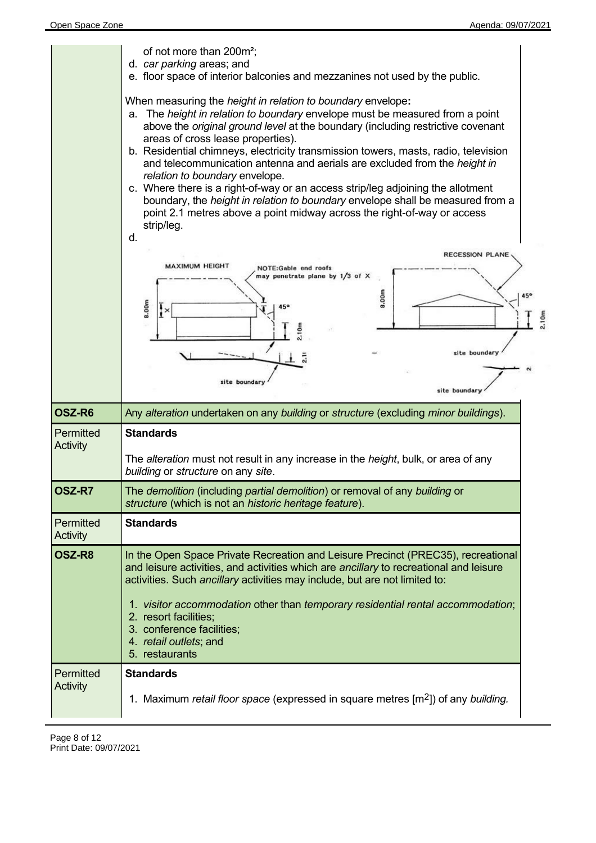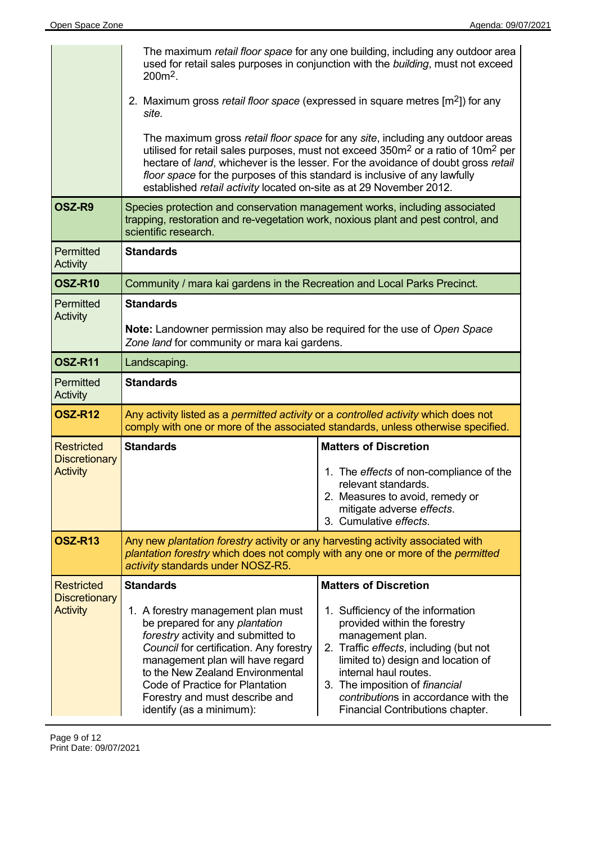|                                           | The maximum retail floor space for any one building, including any outdoor area<br>used for retail sales purposes in conjunction with the building, must not exceed<br>$200m^2$ .                                             |                                                                                                                                                                                                                                                                                 |
|-------------------------------------------|-------------------------------------------------------------------------------------------------------------------------------------------------------------------------------------------------------------------------------|---------------------------------------------------------------------------------------------------------------------------------------------------------------------------------------------------------------------------------------------------------------------------------|
|                                           | 2. Maximum gross retail floor space (expressed in square metres $[m^2]$ ) for any<br>site.                                                                                                                                    |                                                                                                                                                                                                                                                                                 |
|                                           | floor space for the purposes of this standard is inclusive of any lawfully<br>established retail activity located on-site as at 29 November 2012.                                                                             | The maximum gross retail floor space for any site, including any outdoor areas<br>utilised for retail sales purposes, must not exceed 350m <sup>2</sup> or a ratio of 10m <sup>2</sup> per<br>hectare of land, whichever is the lesser. For the avoidance of doubt gross retail |
| OSZ-R9                                    | Species protection and conservation management works, including associated<br>trapping, restoration and re-vegetation work, noxious plant and pest control, and<br>scientific research.                                       |                                                                                                                                                                                                                                                                                 |
| Permitted<br>Activity                     | <b>Standards</b>                                                                                                                                                                                                              |                                                                                                                                                                                                                                                                                 |
| <b>OSZ-R10</b>                            | Community / mara kai gardens in the Recreation and Local Parks Precinct.                                                                                                                                                      |                                                                                                                                                                                                                                                                                 |
| Permitted<br>Activity                     | <b>Standards</b>                                                                                                                                                                                                              |                                                                                                                                                                                                                                                                                 |
|                                           | Note: Landowner permission may also be required for the use of Open Space<br>Zone land for community or mara kai gardens.                                                                                                     |                                                                                                                                                                                                                                                                                 |
| <b>OSZ-R11</b>                            | Landscaping.                                                                                                                                                                                                                  |                                                                                                                                                                                                                                                                                 |
| Permitted<br>Activity                     | <b>Standards</b>                                                                                                                                                                                                              |                                                                                                                                                                                                                                                                                 |
| <b>OSZ-R12</b>                            | Any activity listed as a permitted activity or a controlled activity which does not<br>comply with one or more of the associated standards, unless otherwise specified.                                                       |                                                                                                                                                                                                                                                                                 |
| <b>Restricted</b><br><b>Discretionary</b> | <b>Standards</b>                                                                                                                                                                                                              | <b>Matters of Discretion</b>                                                                                                                                                                                                                                                    |
| <b>Activity</b>                           |                                                                                                                                                                                                                               | 1. The effects of non-compliance of the<br>relevant standards.<br>2. Measures to avoid, remedy or<br>mitigate adverse effects.<br>3. Cumulative effects.                                                                                                                        |
| <b>OSZ-R13</b>                            | Any new plantation forestry activity or any harvesting activity associated with<br>plantation forestry which does not comply with any one or more of the permitted<br>activity standards under NOSZ-R5.                       |                                                                                                                                                                                                                                                                                 |
| <b>Restricted</b>                         | <b>Standards</b>                                                                                                                                                                                                              | <b>Matters of Discretion</b>                                                                                                                                                                                                                                                    |
| <b>Discretionary</b><br><b>Activity</b>   | 1. A forestry management plan must<br>be prepared for any plantation<br>forestry activity and submitted to<br>Council for certification. Any forestry<br>management plan will have regard<br>to the New Zealand Environmental | 1. Sufficiency of the information<br>provided within the forestry<br>management plan.<br>2. Traffic effects, including (but not<br>limited to) design and location of<br>internal haul routes.                                                                                  |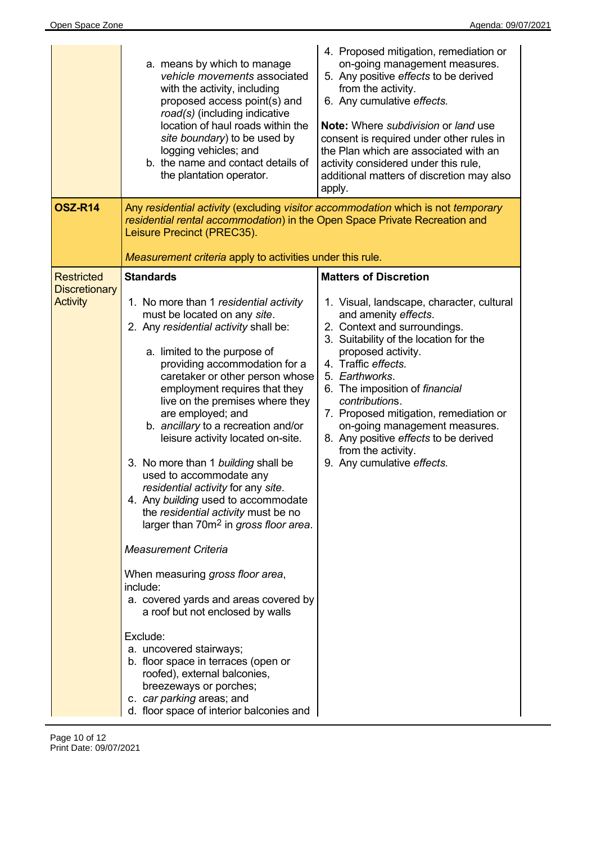|                                         | a. means by which to manage<br>vehicle movements associated<br>with the activity, including<br>proposed access point(s) and<br>road(s) (including indicative<br>location of haul roads within the<br>site boundary) to be used by<br>logging vehicles; and<br>b. the name and contact details of<br>the plantation operator.                                                                                                                                                                                                                                                                                                                                                                                                                                                                                                                                                                                                                                                                                     | 4. Proposed mitigation, remediation or<br>on-going management measures.<br>5. Any positive effects to be derived<br>from the activity.<br>6. Any cumulative effects.<br><b>Note:</b> Where <i>subdivision</i> or land use<br>consent is required under other rules in<br>the Plan which are associated with an<br>activity considered under this rule,<br>additional matters of discretion may also<br>apply.                          |
|-----------------------------------------|------------------------------------------------------------------------------------------------------------------------------------------------------------------------------------------------------------------------------------------------------------------------------------------------------------------------------------------------------------------------------------------------------------------------------------------------------------------------------------------------------------------------------------------------------------------------------------------------------------------------------------------------------------------------------------------------------------------------------------------------------------------------------------------------------------------------------------------------------------------------------------------------------------------------------------------------------------------------------------------------------------------|----------------------------------------------------------------------------------------------------------------------------------------------------------------------------------------------------------------------------------------------------------------------------------------------------------------------------------------------------------------------------------------------------------------------------------------|
| <b>OSZ-R14</b>                          | Any residential activity (excluding visitor accommodation which is not temporary<br>residential rental accommodation) in the Open Space Private Recreation and<br>Leisure Precinct (PREC35).<br>Measurement criteria apply to activities under this rule.                                                                                                                                                                                                                                                                                                                                                                                                                                                                                                                                                                                                                                                                                                                                                        |                                                                                                                                                                                                                                                                                                                                                                                                                                        |
| <b>Restricted</b>                       | <b>Standards</b>                                                                                                                                                                                                                                                                                                                                                                                                                                                                                                                                                                                                                                                                                                                                                                                                                                                                                                                                                                                                 | <b>Matters of Discretion</b>                                                                                                                                                                                                                                                                                                                                                                                                           |
| <b>Discretionary</b><br><b>Activity</b> | 1. No more than 1 residential activity<br>must be located on any site.<br>2. Any residential activity shall be:<br>a. limited to the purpose of<br>providing accommodation for a<br>caretaker or other person whose<br>employment requires that they<br>live on the premises where they<br>are employed; and<br>b. ancillary to a recreation and/or<br>leisure activity located on-site.<br>3. No more than 1 building shall be<br>used to accommodate any<br>residential activity for any site.<br>4. Any building used to accommodate<br>the residential activity must be no<br>larger than 70m <sup>2</sup> in gross floor area.<br><b>Measurement Criteria</b><br>When measuring gross floor area,<br>include:<br>a. covered yards and areas covered by<br>a roof but not enclosed by walls<br>Exclude:<br>a. uncovered stairways;<br>b. floor space in terraces (open or<br>roofed), external balconies,<br>breezeways or porches;<br>c. car parking areas; and<br>d. floor space of interior balconies and | 1. Visual, landscape, character, cultural<br>and amenity effects.<br>2. Context and surroundings.<br>3. Suitability of the location for the<br>proposed activity.<br>4. Traffic effects.<br>5. Earthworks.<br>6. The imposition of financial<br>contributions.<br>7. Proposed mitigation, remediation or<br>on-going management measures.<br>8. Any positive effects to be derived<br>from the activity.<br>9. Any cumulative effects. |

 $\overline{\phantom{a}}$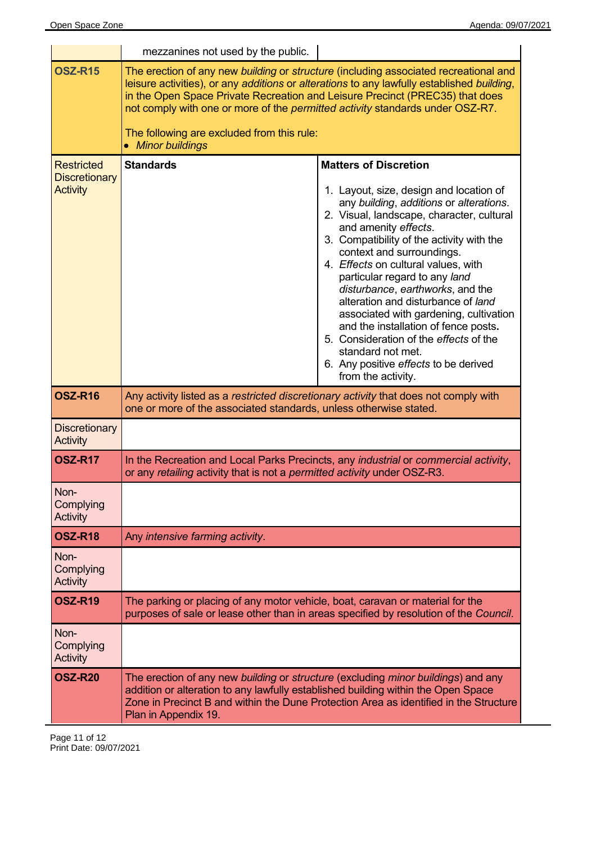|                                                              | mezzanines not used by the public.                                                                                                                                                                                               |                                                                                                                                                                                                                                                                                                                                                                                                                                                                                                                                                                                                                                     |
|--------------------------------------------------------------|----------------------------------------------------------------------------------------------------------------------------------------------------------------------------------------------------------------------------------|-------------------------------------------------------------------------------------------------------------------------------------------------------------------------------------------------------------------------------------------------------------------------------------------------------------------------------------------------------------------------------------------------------------------------------------------------------------------------------------------------------------------------------------------------------------------------------------------------------------------------------------|
| <b>OSZ-R15</b>                                               | in the Open Space Private Recreation and Leisure Precinct (PREC35) that does<br>not comply with one or more of the permitted activity standards under OSZ-R7.<br>The following are excluded from this rule:<br>• Minor buildings | The erection of any new building or structure (including associated recreational and<br>leisure activities), or any additions or alterations to any lawfully established building,                                                                                                                                                                                                                                                                                                                                                                                                                                                  |
| <b>Restricted</b><br><b>Discretionary</b><br><b>Activity</b> | <b>Standards</b>                                                                                                                                                                                                                 | <b>Matters of Discretion</b><br>1. Layout, size, design and location of<br>any building, additions or alterations.<br>2. Visual, landscape, character, cultural<br>and amenity effects.<br>3. Compatibility of the activity with the<br>context and surroundings.<br>4. Effects on cultural values, with<br>particular regard to any land<br>disturbance, earthworks, and the<br>alteration and disturbance of land<br>associated with gardening, cultivation<br>and the installation of fence posts.<br>5. Consideration of the effects of the<br>standard not met.<br>6. Any positive effects to be derived<br>from the activity. |
| OSZ-R16                                                      | Any activity listed as a restricted discretionary activity that does not comply with<br>one or more of the associated standards, unless otherwise stated.                                                                        |                                                                                                                                                                                                                                                                                                                                                                                                                                                                                                                                                                                                                                     |
| <b>Discretionary</b><br><b>Activity</b>                      |                                                                                                                                                                                                                                  |                                                                                                                                                                                                                                                                                                                                                                                                                                                                                                                                                                                                                                     |
| <b>OSZ-R17</b>                                               | or any retailing activity that is not a permitted activity under OSZ-R3.                                                                                                                                                         | In the Recreation and Local Parks Precincts, any industrial or commercial activity,                                                                                                                                                                                                                                                                                                                                                                                                                                                                                                                                                 |
| Non-<br>Complying<br>Activity                                |                                                                                                                                                                                                                                  |                                                                                                                                                                                                                                                                                                                                                                                                                                                                                                                                                                                                                                     |
| <b>OSZ-R18</b>                                               | Any intensive farming activity.                                                                                                                                                                                                  |                                                                                                                                                                                                                                                                                                                                                                                                                                                                                                                                                                                                                                     |
| Non-<br>Complying<br><b>Activity</b>                         |                                                                                                                                                                                                                                  |                                                                                                                                                                                                                                                                                                                                                                                                                                                                                                                                                                                                                                     |
| <b>OSZ-R19</b>                                               | The parking or placing of any motor vehicle, boat, caravan or material for the                                                                                                                                                   | purposes of sale or lease other than in areas specified by resolution of the Council.                                                                                                                                                                                                                                                                                                                                                                                                                                                                                                                                               |
| Non-<br>Complying<br><b>Activity</b>                         |                                                                                                                                                                                                                                  |                                                                                                                                                                                                                                                                                                                                                                                                                                                                                                                                                                                                                                     |
| <b>OSZ-R20</b>                                               | The erection of any new building or structure (excluding minor buildings) and any<br>addition or alteration to any lawfully established building within the Open Space<br>Plan in Appendix 19.                                   | Zone in Precinct B and within the Dune Protection Area as identified in the Structure                                                                                                                                                                                                                                                                                                                                                                                                                                                                                                                                               |

Page 11 of 12 Print Date: 09/07/2021